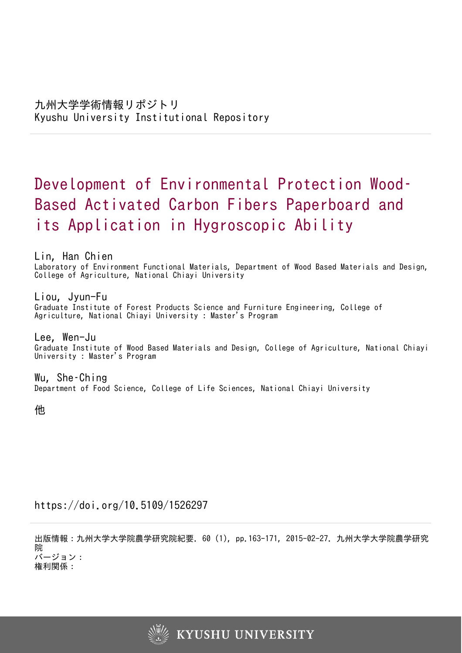# Development of Environmental Protection Wood– Based Activated Carbon Fibers Paperboard and its Application in Hygroscopic Ability

Lin, Han Chien Laboratory of Environment Functional Materials, Department of Wood Based Materials and Design, College of Agriculture, National Chiayi University

Liou, Jyun-Fu Graduate Institute of Forest Products Science and Furniture Engineering, College of Agriculture, National Chiayi University : Master's Program

Lee, Wen-Ju Graduate Institute of Wood Based Materials and Design, College of Agriculture, National Chiayi University : Master's Program

Wu, She–Ching Department of Food Science, College of Life Sciences, National Chiayi University

他

https://doi.org/10.5109/1526297

出版情報:九州大学大学院農学研究院紀要. 60 (1), pp.163-171, 2015-02-27. 九州大学大学院農学研究 院 バージョン: 権利関係:

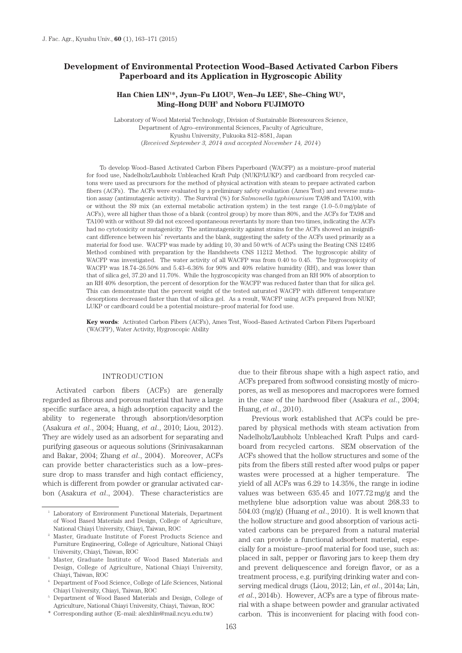# **Development of Environmental Protection Wood–Based Activated Carbon Fibers Paperboard and its Application in Hygroscopic Ability**

# Han Chien LIN<sup>1\*</sup>, Jyun–Fu LIOU<sup>2</sup>, Wen–Ju LEE<sup>3</sup>, She–Ching WU<sup>4</sup>, **Ming–Hong DUH5 and Noboru FUJIMOTO**

Laboratory of Wood Material Technology, Division of Sustainable Bioresources Science, Department of Agro–environmental Sciences, Faculty of Agriculture, Kyushu University, Fukuoka 812–8581, Japan (*Received September 3, 2014 and accepted November 14, 2014*)

To develop Wood–Based Activated Carbon Fibers Paperboard (WACFP) as a moisture–proof material for food use, Nadelholz/Laubholz Unbleached Kraft Pulp (NUKP/LUKP) and cardboard from recycled cartons were used as precursors for the method of physical activation with steam to prepare activated carbon fibers (ACFs). The ACFs were evaluated by a preliminary safety evaluation (Ames Test) and reverse mutation assay (antimutagenic activity). The Survival (%) for *Salmonella typhimurium* TA98 and TA100, with or without the S9 mix (an external metabolic activation system) in the test range (1.0–5.0 mg/plate of ACFs), were all higher than those of a blank (control group) by more than 80%, and the ACFs for TA98 and TA100 with or without S9 did not exceed spontaneous revertants by more than two times, indicating the ACFs had no cytotoxicity or mutagenicity. The antimutagenicity against strains for the ACFs showed an insignificant difference between his<sup>+</sup> revertants and the blank, suggesting the safety of the ACFs used primarily as a material for food use. WACFP was made by adding 10, 30 and 50 wt% of ACFs using the Beating CNS 12495 Method combined with preparation by the Handsheets CNS 11212 Method. The hygroscopic ability of WACFP was investigated. The water activity of all WACFP was from 0.40 to 0.45. The hygroscopicity of WACFP was 18.74–26.50% and 5.43–6.36% for 90% and 40% relative humidity (RH), and was lower than that of silica gel, 37.20 and 11.70%. While the hygroscopicity was changed from an RH 90% of absorption to an RH 40% desorption, the percent of desorption for the WACFP was reduced faster than that for silica gel. This can demonstrate that the percent weight of the tested saturated WACFP with different temperature desorptions decreased faster than that of silica gel. As a result, WACFP using ACFs prepared from NUKP, LUKP or cardboard could be a potential moisture–proof material for food use.

**Key words**: Activated Carbon Fibers (ACFs), Ames Test, Wood–Based Activated Carbon Fibers Paperboard (WACFP), Water Activity, Hygroscopic Ability

# INTRODUCTION

Activated carbon fibers (ACFs) are generally regarded as fibrous and porous material that have a large specific surface area, a high adsorption capacity and the ability to regenerate through absorption/desorption (Asakura *et al*., 2004; Huang, *et al*., 2010; Liou, 2012). They are widely used as an adsorbent for separating and purifying gaseous or aqueous solutions (Srinivasakannan and Bakar, 2004; Zhang *et al*., 2004). Moreover, ACFs can provide better characteristics such as a low–pressure drop to mass transfer and high contact efficiency, which is different from powder or granular activated carbon (Asakura *et al*., 2004). These characteristics are due to their fibrous shape with a high aspect ratio, and ACFs prepared from softwood consisting mostly of micropores, as well as mesopores and macropores were formed in the case of the hardwood fiber (Asakura *et al*., 2004; Huang, *et al*., 2010).

Previous work established that ACFs could be prepared by physical methods with steam activation from Nadelholz/Laubholz Unbleached Kraft Pulps and cardboard from recycled cartons. SEM observation of the ACFs showed that the hollow structures and some of the pits from the fibers still rested after wood pulps or paper wastes were processed at a higher temperature. The yield of all ACFs was 6.29 to 14.35%, the range in iodine values was between 635.45 and 1077.72 mg/g and the methylene blue adsorption value was about 268.33 to 504.03 (mg/g) (Huang *et al*., 2010). It is well known that the hollow structure and good absorption of various activated carbons can be prepared from a natural material and can provide a functional adsorbent material, especially for a moisture–proof material for food use, such as: placed in salt, pepper or flavoring jars to keep them dry and prevent deliquescence and foreign flavor, or as a treatment process, e.g. purifying drinking water and conserving medical drugs (Liou, 2012; Lin, *et al*., 2014a; Lin, *et al*., 2014b). However, ACFs are a type of fibrous material with a shape between powder and granular activated carbon. This is inconvenient for placing with food con-

<sup>1</sup> Laboratory of Environment Functional Materials, Department of Wood Based Materials and Design, College of Agriculture, National Chiayi University, Chiayi, Taiwan, ROC

<sup>2</sup> Master, Graduate Institute of Forest Products Science and Furniture Engineering, College of Agriculture, National Chiayi University, Chiayi, Taiwan, ROC

<sup>3</sup> Master, Graduate Institute of Wood Based Materials and Design, College of Agriculture, National Chiayi University, Chiayi, Taiwan, ROC

<sup>4</sup> Department of Food Science, College of Life Sciences, National Chiayi University, Chiayi, Taiwan, ROC

<sup>5</sup> Department of Wood Based Materials and Design, College of Agriculture, National Chiayi University, Chiayi, Taiwan, ROC

<sup>\*</sup> Corresponding author (E–mail: alexhlin@mail.ncyu.edu.tw)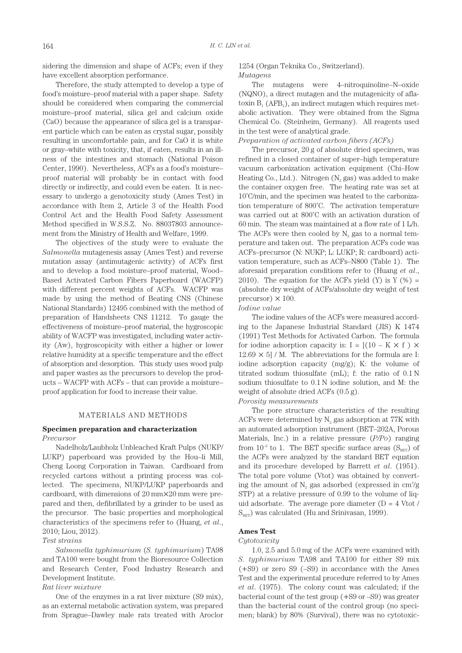sidering the dimension and shape of ACFs; even if they have excellent absorption performance.

Therefore, the study attempted to develop a type of food's moisture–proof material with a paper shape. Safety should be considered when comparing the commercial moisture–proof material, silica gel and calcium oxide (CaO) because the appearance of silica gel is a transparent particle which can be eaten as crystal sugar, possibly resulting in uncomfortable pain, and for CaO it is white or gray–white with toxicity, that, if eaten, results in an illness of the intestines and stomach (National Poison Center, 1990). Nevertheless, ACFs as a food's moisture– proof material will probably be in contact with food directly or indirectly, and could even be eaten. It is necessary to undergo a genotoxicity study (Ames Test) in accordance with Item 2, Article 3 of the Health Food Control Act and the Health Food Safety Assessment Method specified in W.S.S.Z. No. 88037803 announcement from the Ministry of Health and Welfare, 1999.

The objectives of the study were to evaluate the *Salmonella* mutagenesis assay (Ames Test) and reverse mutation assay (antimutagenic activity) of ACFs first and to develop a food moisture–proof material, Wood– Based Activated Carbon Fibers Paperboard (WACFP) with different percent weights of ACFs. WACFP was made by using the method of Beating CNS (Chinese National Standards) 12495 combined with the method of preparation of Handsheets CNS 11212. To gauge the effectiveness of moisture–proof material, the hygroscopic ability of WACFP was investigated, including water activity (Aw), hygroscopicity with either a higher or lower relative humidity at a specific temperature and the effect of absorption and desorption. This study uses wood pulp and paper wastes as the precursors to develop the products – WACFP with ACFs – that can provide a moisture– proof application for food to increase their value.

#### MATERIALS AND METHODS

# **Specimen preparation and characterization** *Precursor*

Nadelholz/Laubholz Unbleached Kraft Pulps (NUKP/ LUKP) paperboard was provided by the Hou–li Mill, Cheng Loong Corporation in Taiwan. Cardboard from recycled cartons without a printing process was collected. The specimens, NUKP/LUKP paperboards and cardboard, with dimensions of 20 mm×20 mm were prepared and then, defibrillated by a grinder to be used as the precursor. The basic properties and morphological characteristics of the specimens refer to (Huang, *et al*., 2010; Liou, 2012).

#### *Test strains*

*Salmonella typhimurium* (*S. typhimurium*) TA98 and TA100 were bought from the Bioresource Collection and Research Center, Food Industry Research and Development Institute.

# *Rat liver mixture*

One of the enzymes in a rat liver mixture (S9 mix), as an external metabolic activation system, was prepared from Sprague–Dawley male rats treated with Aroclor

# 1254 (Organ Teknika Co., Switzerland). *Mutagens*

The mutagens were 4–nitroquinoline–N–oxide (NQNO), a direct mutagen and the mutagenicity of aflatoxin  $B_1$  (AFB<sub>1</sub>), an indirect mutagen which requires metabolic activation. They were obtained from the Sigma Chemical Co. (Steinheim, Germany). All reagents used in the test were of analytical grade.

# *Preparation of activated carbon fibers (ACFs)*

The precursor, 20 g of absolute dried specimen, was refined in a closed container of super–high temperature vacuum carbonization activation equipment (Chi–How Heating Co., Ltd.). Nitrogen  $(N_2$  gas) was added to make the container oxygen free. The heating rate was set at 10˚C/min, and the specimen was heated to the carbonization temperature of 800˚C. The activation temperature was carried out at 800˚C with an activation duration of 60 min. The steam was maintained at a flow rate of 1 L/h. The ACFs were then cooled by  $N_2$  gas to a normal temperature and taken out. The preparation ACFs code was ACFs–precursor (N: NUKP; L: LUKP; R: cardboard) activation temperature, such as ACFs–N800 (Table 1). The aforesaid preparation conditions refer to (Huang *et al*., 2010). The equation for the ACFs yield (Y) is  $Y(\%) =$ (absolute dry weight of ACFs/absolute dry weight of test precursor)  $\times$  100.

*Iodine value* The iodine values of the ACFs were measured according to the Japanese Industrial Standard (JIS) K 1474 (1991) Test Methods for Activated Carbon. The formula for iodine adsorption capacity is:  $I = [(10 - K \times f) \times$  $12.69 \times 5$ ] / M. The abbreviations for the formula are I: iodine adsorption capacity (mg/g); K: the volume of titrated sodium thiosulfate (mL); f: the ratio of 0.1 N sodium thiosulfate to 0.1 N iodine solution, and M: the

weight of absolute dried ACFs (0.5 g). *Porosity measurements*

The pore structure characteristics of the resulting ACFs were determined by  $N_2$  gas adsorption at 77K with an automated adsorption instrument (BET–202A, Porous Materials, Inc.) in a relative pressure (*P/Po*) ranging from  $10^{-2}$  to 1. The BET specific surface areas (S<sub>BET</sub>) of the ACFs were analyzed by the standard BET equation and its procedure developed by Barrett *et al*. (1951). The total pore volume (Vtot) was obtained by converting the amount of  $N_2$  gas adsorbed (expressed in cm<sup>3</sup>/g STP) at a relative pressure of 0.99 to the volume of liquid adsorbate. The average pore diameter  $(D = 4$  Vtot /  $S<sub>BET</sub>$ ) was calculated (Hu and Srinivasan, 1999).

# **Ames Test**

### *Cytotoxicity*

1.0, 2.5 and 5.0 mg of the ACFs were examined with *S. typhimurium* TA98 and TA100 for either S9 mix (+S9) or zero S9 (–S9) in accordance with the Ames Test and the experimental procedure referred to by Ames *et al*. (1975). The colony count was calculated; if the bacterial count of the test group (+S9 or –S9) was greater than the bacterial count of the control group (no specimen; blank) by 80% (Survival), there was no cytotoxic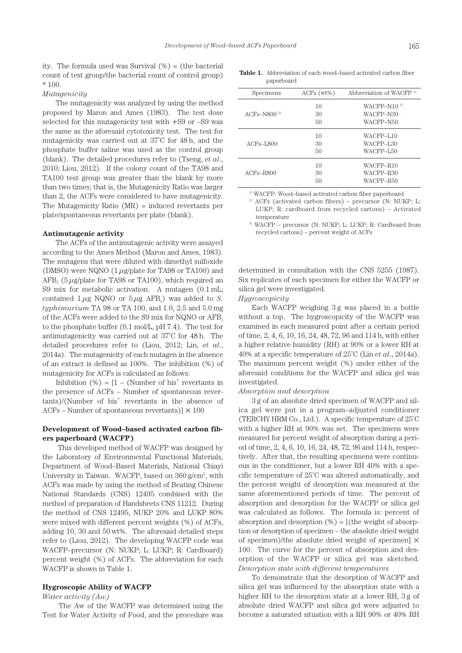ity. The formula used was Survival  $(\%)$  = (the bacterial count of test group/the bacterial count of control group)  $*100.$ 

*Mutagenicity*

The mutagenicity was analyzed by using the method proposed by Maron and Ames (1983). The test dose selected for this mutagenicity test with +S9 or –S9 was the same as the aforesaid cytotoxicity test. The test for mutagenicity was carried out at 37˚C for 48 h, and the phosphate buffer saline was used as the control group (blank). The detailed procedures refer to (Tseng, *et al*., 2010; Liou, 2012). If the colony count of the TA98 and TA100 test group was greater than the blank by more than two times; that is, the Mutagenicity Ratio was larger than 2, the ACFs were considered to have mutagenicity. The Mutagenicity Ratio (MR) = induced revertants per plate/spontaneous revertants per plate (blank).

## **Antimutagenic activity**

The ACFs of the antimutagenic activity were assayed according to the Ames Method (Maron and Ames, 1983). The mutagens that were diluted with dimethyl sulfoxide (DMSO) were NQNO (1 *μ*g/plate for TA98 or TA100) and  $AFB<sub>1</sub>$  (5  $\mu$ g/plate for TA98 or TA100), which required an S9 mix for metabolic activation. A mutagen (0.1 mL; contained  $1 \mu$ g NQNO or  $5 \mu$ g AFB<sub>1</sub>) was added to *S*. *typhimurium* TA 98 or TA 100, and 1.0, 2.5 and 5.0 mg of the ACFs were added to the S9 mix for NQNO or AFB1 to the phosphate buffer (0.1 mol/L, pH 7.4). The test for antimutagenicity was carried out at 37˚C for 48 h. The detailed procedures refer to (Liou, 2012; Lin, *et al*., 2014a). The mutagenicity of each mutagen in the absence of an extract is defined as 100%. The inhibition (%) of mutagenicity for ACFs is calculated as follows:

Inhibition  $(\%) = [1 - (Number of his<sup>+</sup> revertants in$ the presence of ACFs – Number of spontaneous rever $tants$ /(Number of his<sup>+</sup> revertants in the absence of ACFs – Number of spontaneous revertants) $\vert \times 100 \rangle$ 

# **Development of Wood–based activated carbon fibers paperboard (WACFP)**

 This developed method of WACFP was designed by the Laboratory of Environmental Functional Materials, Department of Wood–Based Materials, National Chiayi University in Taiwan. WACFP, based on 360 g/cm<sup>2</sup>, with ACFs was made by using the method of Beating Chinese National Standards (CNS) 12495 combined with the method of preparation of Handsheets CNS 11212. During the method of CNS 12495, NUKP 20% and LUKP 80% were mixed with different percent weights (%) of ACFs, adding 10, 30 and 50 wt%. The aforesaid detailed steps refer to (Liou, 2012). The developing WACFP code was WACFP–precursor (N: NUKP; L: LUKP; R: Cardboard) percent weight (%) of ACFs. The abbreviation for each WACFP is shown in Table 1.

#### **Hygroscopic Ability of WACFP**

*Water activity (Aw)*

 The Aw of the WACFP was determined using the Test for Water Activity of Food, and the procedure was

**Table 1.** Abbreviation of each wood–based activated carbon fiber paperboard

| Specimens       | $ACFs (wt\%)$ | Abbreviation of WACFP <sup>1)</sup> |
|-----------------|---------------|-------------------------------------|
|                 | 10            | WACFP-N10 <sup>3)</sup>             |
| $ACFs-N8002$    | 30            | WACFP-N30                           |
|                 | 50            | WACFP-N50                           |
|                 | 10            | WACFP-L10                           |
| $ACFs$ -L $800$ | 30            | WACFP-L30                           |
|                 | 50            | WACFP-L50                           |
|                 | 10            | WACFP-R10                           |
| $ACFs - R800$   | 30            | WACFP-R30                           |
|                 | 50            | WACFP-R50                           |

1) WACFP: Wood–based activated carbon fiber paperboard

<sup>2)</sup> ACFs (activated carbon fibers) – precursor (N: NUKP; L: LUKP; R: cardboard from recycled cartons) – Activated temperature

3) WACFP – precursor (N: NUKP; L: LUKP; R: Cardboard from recycled cartons) – percent weight of ACFs

determined in consultation with the CNS 5255 (1987). Six replicates of each specimen for either the WACFP or silica gel were investigated.

*Hygroscopicity*

Each WACFP weighing 3 g was placed in a bottle without a top. The hygroscopicity of the WACFP was examined in each measured point after a certain period of time, 2, 4, 6, 10, 16, 24, 48, 72, 96 and 114 h, with either a higher relative humidity (RH) at 90% or a lower RH at 40% at a specific temperature of 25˚C (Lin *et al*., 2014a). The maximum percent weight (%) under either of the aforesaid conditions for the WACFP and silica gel was investigated.

#### *Absorption and desorption*

3 g of an absolute dried specimen of WACFP and silica gel were put in a program–adjusted conditioner (TERCHY HRM Co., Ltd.). A specific temperature of 25˚C with a higher RH at 90% was set. The specimens were measured for percent weight of absorption during a period of time, 2, 4, 6, 10, 16, 24, 48, 72, 96 and 114 h, respectively. After that, the resulting specimens were continuous in the conditioner, but a lower RH 40% with a specific temperature of 25˚C was altered automatically, and the percent weight of desorption was measured at the same aforementioned periods of time. The percent of absorption and desorption for the WACFP or silica gel was calculated as follows. The formula is: percent of absorption and desorption  $(\%) = [$  (the weight of absorption or desorption of specimen – the absolute dried weight of specimen)/the absolute dried weight of specimen] × 100. The curve for the percent of absorption and desorption of the WACFP or silica gel was sketched. *Desorption state with different temperatures*

To demonstrate that the desorption of WACFP and silica gel was influenced by the absorption state with a higher RH to the desorption state at a lower RH, 3 g of absolute dried WACFP and silica gel were adjusted to become a saturated situation with a RH 90% or 40% RH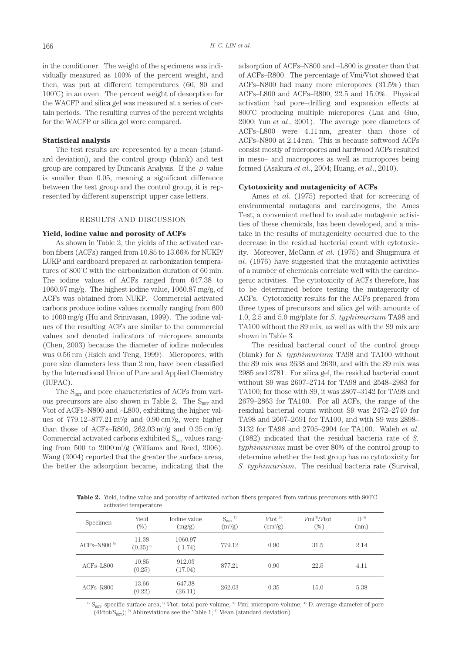in the conditioner. The weight of the specimens was individually measured as 100% of the percent weight, and then, was put at different temperatures (60, 80 and 100˚C) in an oven. The percent weight of desorption for the WACFP and silica gel was measured at a series of certain periods. The resulting curves of the percent weights for the WACFP or silica gel were compared.

#### **Statistical analysis**

The test results are represented by a mean (standard deviation), and the control group (blank) and test group are compared by Duncan's Analysis. If the  $\rho$  value is smaller than 0.05, meaning a significant difference between the test group and the control group, it is represented by different superscript upper case letters.

#### RESULTS AND DISCUSSION

### **Yield, iodine value and porosity of ACFs**

As shown in Table 2, the yields of the activated carbon fibers (ACFs) ranged from 10.85 to 13.66% for NUKP/ LUKP and cardboard prepared at carbonization temperatures of 800˚C with the carbonization duration of 60 min. The iodine values of ACFs ranged from 647.38 to 1060.97 mg/g. The highest iodine value, 1060.87 mg/g, of ACFs was obtained from NUKP. Commercial activated carbons produce iodine values normally ranging from 600 to 1000 mg/g (Hu and Srinivasan, 1999). The iodine values of the resulting ACFs are similar to the commercial values and denoted indicators of micropore amounts (Chen, 2003) because the diameter of iodine molecules was 0.56 nm (Hsieh and Teng, 1999). Micropores, with pore size diameters less than 2 nm, have been classified by the International Union of Pure and Applied Chemistry (IUPAC).

The  $S_{BET}$  and pore characteristics of ACFs from various precursors are also shown in Table 2. The  $S_{BET}$  and Vtot of ACFs–N800 and –L800, exhibiting the higher values of  $779.12-877.21 \text{ m}^2/\text{g}$  and  $0.90 \text{ cm}^3/\text{g}$ , were higher than those of ACFs-R800,  $262.03 \text{ m}^2/\text{g}$  and  $0.35 \text{ cm}^3/\text{g}$ . Commercial activated carbons exhibited  $S_{BET}$  values ranging from  $500$  to  $2000 \text{ m}^2/\text{g}$  (Williams and Reed,  $2006$ ). Wang (2004) reported that the greater the surface areas, the better the adsorption became, indicating that the

adsorption of ACFs–N800 and –L800 is greater than that of ACFs–R800. The percentage of Vmi/Vtot showed that ACFs–N800 had many more micropores (31.5%) than ACFs–L800 and ACFs–R800, 22.5 and 15.0%. Physical activation had pore–drilling and expansion effects at 800˚C producing multiple micropores (Lua and Guo, 2000; Yun *et al*., 2001). The average pore diameters of ACFs–L800 were 4.11 nm, greater than those of ACFs–N800 at 2.14 nm. This is because softwood ACFs consist mostly of micropores and hardwood ACFs resulted in meso– and macropores as well as micropores being formed (Asakura *et al*., 2004; Huang, *et al*., 2010).

# **Cytotoxicity and mutagenicity of ACFs**

Ames *et al*. (1975) reported that for screening of environmental mutagens and carcinogens, the Ames Test, a convenient method to evaluate mutagenic activities of these chemicals, has been developed, and a mistake in the results of mutagenicity occurred due to the decrease in the residual bacterial count with cytotoxicity. Moreover, McCann *et al*. (1975) and Shugimura *et al*. (1976) have suggested that the mutagenic activities of a number of chemicals correlate well with the carcinogenic activities. The cytotoxicity of ACFs therefore, has to be determined before testing the mutagenicity of ACFs. Cytotoxicity results for the ACFs prepared from three types of precursors and silica gel with amounts of 1.0, 2.5 and 5.0 mg/plate for *S. typhimurium* TA98 and TA100 without the S9 mix, as well as with the S9 mix are shown in Table 3.

The residual bacterial count of the control group (blank) for *S. typhimurium* TA98 and TA100 without the S9 mix was 2638 and 2630, and with the S9 mix was 2985 and 2781. For silica gel, the residual bacterial count without S9 was 2607–2714 for TA98 and 2548–2983 for TA100; for those with S9, it was 2807–3142 for TA98 and 2679–2863 for TA100. For all ACFs, the range of the residual bacterial count without S9 was 2472–2740 for TA98 and 2607–2691 for TA100, and with S9 was 2898– 3132 for TA98 and 2705–2904 for TA100. Waleh *et al*. (1982) indicated that the residual bacteria rate of *S. typhimurium* must be over 80% of the control group to determine whether the test group has no cytotoxicity for *S. typhimurium*. The residual bacteria rate (Survival,

Table 2. Yield, iodine value and porosity of activated carbon fibers prepared from various precursors with 800°C activated temperature

| Specimen      | Yield<br>(%)          | Iodine value<br>(mg/g) | $S_{\scriptscriptstyle\rm BET}$ $^{\scriptscriptstyle\rm I)}$<br>$(m^2/g)$ | $V\text{tot}^{2}$<br>$\text{cm}^3\text{/g}$ | Vmi <sup>3</sup> /Vtot<br>(%) | D <sup>4</sup><br>(nm) |
|---------------|-----------------------|------------------------|----------------------------------------------------------------------------|---------------------------------------------|-------------------------------|------------------------|
| ACFs-N800 $5$ | 11.38<br>$(0.35)^{6}$ | 1060.97<br>(1.74)      | 779.12                                                                     | 0.90                                        | 31.5                          | 2.14                   |
| $ACFs$ -L800  | 10.85<br>(0.25)       | 912.03<br>(17.04)      | 877.21                                                                     | 0.90                                        | 22.5                          | 4.11                   |
| $ACFs - R800$ | 13.66<br>(0.22)       | 647.38<br>(26.11)      | 262.03                                                                     | 0.35                                        | 15.0                          | 5.38                   |

<sup>1)</sup> S<sub>BET</sub>: specific surface area;<sup>2)</sup> *V*tot: total pore volume;<sup>3</sup>) *V*mi: micropore volume; <sup>4</sup>) D: average diameter of pore  $(4Vtot/S<sub>BERT</sub>)$ ; <sup>5)</sup> Abbreviations see the Table 1; <sup>6)</sup> Mean (standard deviation)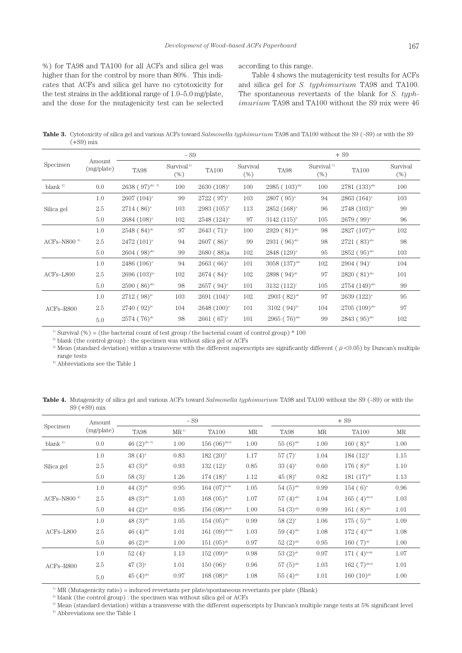%) for TA98 and TA100 for all ACFs and silica gel was higher than for the control by more than 80%. This indicates that ACFs and silica gel have no cytotoxicity for the test strains in the additional range of 1.0–5.0 mg/plate, and the dose for the mutagenicity test can be selected

according to this range.

Table 4 shows the mutagenicity test results for ACFs and silica gel for *S. typhimurium* TA98 and TA100. The spontaneous revertants of the blank for *S. typhimurium* TA98 and TA100 without the S9 mix were 46

Table 3. Cytotoxicity of silica gel and various ACFs toward *Salmonella typhimurium* TA98 and TA100 without the S9 (–S9) or with the S9  $(+89)$  mix

|                        |                      |                               | $- S9$                       |                  | $+ S9$             |                             |                                  |                           |                 |
|------------------------|----------------------|-------------------------------|------------------------------|------------------|--------------------|-----------------------------|----------------------------------|---------------------------|-----------------|
| Specimen               | Amount<br>(mg/plate) | <b>TA98</b>                   | Survival <sup>1</sup><br>(%) | <b>TA100</b>     | Survival<br>$(\%)$ | TA98                        | Survival <sup>1)</sup><br>$(\%)$ | <b>TA100</b>              | Survival<br>(%) |
| blank <sup>2)</sup>    | 0.0                  | $2638$ (97) <sup>abc 3)</sup> | 100                          | $2630(108)^{a}$  | 100                | $2985(103)^{abc}$           | 100                              | 2781 (133) <sup>abc</sup> | 100             |
|                        | 1.0                  | $2607(104)^{a}$               | 99                           | $2722 (97)^{a}$  | 103                | $2807 (95)^{a}$             | 94                               | $2863(164)^{a}$           | 103             |
| Silica gel             | 2.5                  | $2714 (86)^{a}$               | 103                          | $2983 (105)^{b}$ | 113                | $2852(168)^{a}$             | 96                               | $2748(103)^{ac}$          | 99              |
|                        | 5.0                  | $2684 (108)^{a}$              | 102                          | $2548 (124)^{a}$ | 97                 | $3142 (115)^{b}$            | 105                              | $2679(99)^{a}$            | 96              |
|                        | 1.0                  | $2548(84)$ <sup>ab</sup>      | 97                           | $2643 (71)^{a}$  | 100                | $2929(81)$ <sup>abc</sup>   | 98                               | $2827 (107)^{abc}$        | 102             |
| ACFs–N800 <sup>4</sup> | 2.5                  | $2472 (101)^{a}$              | 94                           | $2607 (86)^{a}$  | 99                 | $2931(96)^{abc}$            | 98                               | $2721(83)^{abc}$          | 98              |
|                        | 5.0                  | $2604 (98)$ <sup>abc</sup>    | 99                           | 2680(88)a        | 102                | 2848 (129) <sup>a</sup>     | 95                               | $2852 (95)^{abc}$         | 103             |
|                        | 1.0                  | $2486 (106)^{a}$              | 94                           | $2663(66)^a$     | 101                | $3058 (137)$ <sup>abc</sup> | 102                              | $2904 (94)^c$             | 104             |
| $ACFs - L800$          | 2.5                  | $2696(103)$ <sup>bc</sup>     | 102                          | $2674 (84)^{a}$  | 102                | $2898(94)^{ab}$             | 97                               | $2820(81)$ <sup>abc</sup> | 101             |
|                        | 5.0                  | $2590(86)^{abc}$              | 98                           | $2657 (94)^{a}$  | 101                | $3132 (112)^{\circ}$        | 105                              | $2754 (149)^{abc}$        | 99              |
|                        | 1.0                  | $2712(98)^{bc}$               | 103                          | $2691(104)^{a}$  | 102                | $2903(82)^{ab}$             | 97                               | $2639 (122)^{a}$          | 95              |
| $ACFs - R800$          | 2.5                  | $2740(92)^{bc}$               | 104                          | $2648 (100)^{a}$ | 101                | $3102 (94)$ <sup>bc</sup>   | 104                              | $2705(109)^{abc}$         | 97              |
|                        | 5.0                  | $2574(76)^{ab}$               | 98                           | $2661(67)^{a}$   | 101                | $2965(76)^{abc}$            | 99                               | $2843(95)^{abc}$          | 102             |

<sup>1)</sup> Survival  $(\%)$  = (the bacterial count of test group / the bacterial count of control group) \* 100

 $^{\rm 2)}$  blank (the control group) : the specimen was without silica gel or ACFs

<sup>3)</sup> Mean (standard deviation) within a transverse with the different superscripts are significantly different ( $\rho$  <0.05) by Duncan's multiple range tests

4) Abbreviations see the Table 1

**Table 4.** Mutagenicity of silica gel and various ACFs toward *Salmonella typhimurium* TA98 and TA100 without the S9 (–S9) or with the S9 (+S9) mix

|                            | Amount     | $-S9$                      |           |                            |      |                        | $+ S9$ |                          |      |  |
|----------------------------|------------|----------------------------|-----------|----------------------------|------|------------------------|--------|--------------------------|------|--|
| Specimen                   | (mg/plate) | <b>TA98</b>                | $MR^{1)}$ | <b>TA100</b>               | MR   | <b>TA98</b>            | MR     | <b>TA100</b>             | MR   |  |
| blank $^{2)}$              | 0.0        | 46 $(2)$ <sup>abc 3)</sup> | 1.00      | $156(06)$ <sup>abcd</sup>  | 1.00 | $55(6)$ <sup>abc</sup> | 1.00   | $160(8)^{ab}$            | 1.00 |  |
|                            | 1.0        | $38(4)^{a}$                | 0.83      | $182 (20)^{b}$             | 1.17 | $57 (7)^{\circ}$       | 1.04   | $184 (12)^{b}$           | 1.15 |  |
| Silica gel                 | 2.5        | $43(3)$ <sup>ab</sup>      | 0.93      | $132 (12)^{a}$             | 0.85 | $33(4)^{a}$            | 0.60   | $176(8)^{ab}$            | 1.10 |  |
|                            | 5.0        | $58(3)$ <sup>c</sup>       | 1.26      | $174(18)^{b}$              | 1.12 | $45(8)$ <sup>b</sup>   | 0.82   | 181 (17) <sup>ab</sup>   | 1.13 |  |
|                            | 1.0        | $44(3)$ <sup>ab</sup>      | 0.95      | 164 $(07)^{bcde}$          | 1.05 | $54(5)$ <sup>abc</sup> | 0.99   | $154(6)^{a}$             | 0.96 |  |
| $ACFs$ -N800 <sup>4)</sup> | 2.5        | 48 $(3)$ <sup>abc</sup>    | 1.03      | $168(05)$ <sup>de</sup>    | 1.07 | $57(4)$ <sup>abc</sup> | 1.04   | $165(4)$ <sup>abcd</sup> | 1.03 |  |
|                            | 5.0        | 44 $(2)^{ab}$              | 0.95      | $156(08)$ <sup>abcd</sup>  | 1.00 | $54(3)$ <sup>abc</sup> | 0.99   | $161(8)$ <sup>abc</sup>  | 1.01 |  |
|                            | 1.0        | 48 $(3)^{abc}$             | 1.05      | $154 \ (05)^{abc}$         | 0.99 | $58(2)^{a}$            | 1.06   | $175(5)$ <sup>cde</sup>  | 1.09 |  |
| $ACFs - L800$              | 2.5        | $46(4)$ <sup>abc</sup>     | 1.01      | $161(09)$ <sup>abcde</sup> | 1.03 | $59(4)$ <sup>abc</sup> | 1.08   | $172(4)$ <sup>bcde</sup> | 1.08 |  |
|                            | 5.0        | 46 $(2)$ <sup>abc</sup>    | 1.00      | $151(05)^{ab}$             | 0.97 | $52(2)$ <sup>abc</sup> | 0.95   | 160(7) <sup>ab</sup>     | 1.00 |  |
|                            | 1.0        | $52(4)$ <sup>c</sup>       | 1.13      | $152(09)^{ab}$             | 0.98 | $53(2)$ <sup>ab</sup>  | 0.97   | $171(4)$ <sup>bcde</sup> | 1.07 |  |
| $ACFs - R800$              | 2.5        | $47(3)^{a}$                | 1.01      | $150(06)^{a}$              | 0.96 | $57(5)$ <sup>abc</sup> | 1.03   | $162(7)$ <sup>abcd</sup> | 1.01 |  |
|                            | 5.0        | $45(4)$ <sup>abc</sup>     | 0.97      | $168(08)$ <sup>de</sup>    | 1.08 | $55(4)$ <sup>abc</sup> | 1.01   | $160(10)$ <sup>ab</sup>  | 1.00 |  |

 $1)$  MR (Mutagenicity ratio) = induced revertants per plate/spontaneous revertants per plate (Blank)

<sup>2)</sup> blank (the control group) : the specimen was without silica gel or ACFs

3) Mean (standard deviation) within a transverse with the different superscripts by Duncan's multiple range tests at 5% significant level

 $^\mathrm{4)}$  Abbreviations see the Table 1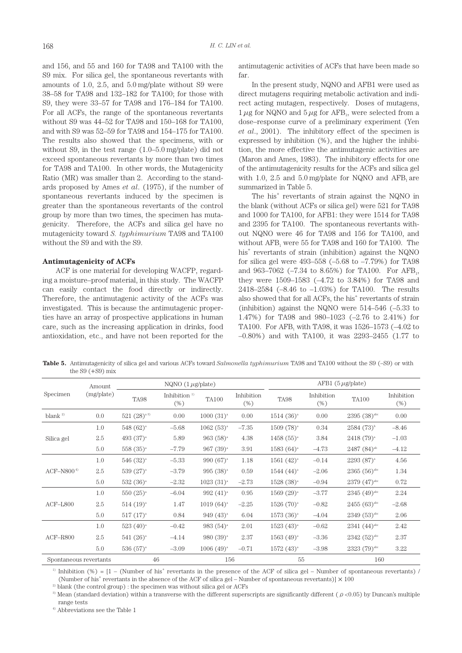and 156, and 55 and 160 for TA98 and TA100 with the S9 mix. For silica gel, the spontaneous revertants with amounts of 1.0, 2.5, and 5.0 mg/plate without S9 were 38–58 for TA98 and 132–182 for TA100; for those with S9, they were 33–57 for TA98 and 176–184 for TA100. For all ACFs, the range of the spontaneous revertants without S9 was 44–52 for TA98 and 150–168 for TA100, and with S9 was 52–59 for TA98 and 154–175 for TA100. The results also showed that the specimens, with or without S9, in the test range (1.0–5.0 mg/plate) did not exceed spontaneous revertants by more than two times for TA98 and TA100. In other words, the Mutagenicity Ratio (MR) was smaller than 2. According to the standards proposed by Ames *et al*. (1975), if the number of spontaneous revertants induced by the specimen is greater than the spontaneous revertants of the control group by more than two times, the specimen has mutagenicity. Therefore, the ACFs and silica gel have no mutagenicity toward *S. typhimurium* TA98 and TA100 without the S9 and with the S9.

## **Antimutagenicity of ACFs**

ACF is one material for developing WACFP, regarding a moisture–proof material, in this study. The WACFP can easily contact the food directly or indirectly. Therefore, the antimutagenic activity of the ACFs was investigated. This is because the antimutagenic properties have an array of prospective applications in human care, such as the increasing application in drinks, food antioxidation, etc., and have not been reported for the antimutagenic activities of ACFs that have been made so far.

In the present study, NQNO and AFB1 were used as direct mutagens requiring metabolic activation and indirect acting mutagen, respectively. Doses of mutagens,  $1 \mu$ g for NQNO and  $5 \mu$ g for AFB<sub>1</sub>, were selected from a dose–response curve of a preliminary experiment (Yen *et al*., 2001). The inhibitory effect of the specimen is expressed by inhibition (%), and the higher the inhibition, the more effective the antimutagenic activities are (Maron and Ames, 1983). The inhibitory effects for one of the antimutagenicity results for the ACFs and silica gel with 1.0, 2.5 and  $5.0 \text{ mg/plate}$  for NQNO and AFB<sub>1</sub> are summarized in Table 5.

The his<sup>+</sup> revertants of strain against the NQNO in the blank (without ACFs or silica gel) were 521 for TA98 and 1000 for TA100, for AFB1: they were 1514 for TA98 and 2395 for TA100. The spontaneous revertants without NQNO were 46 for TA98 and 156 for TA100, and without  $AFB<sub>1</sub>$  were 55 for TA98 and 160 for TA100. The his+ revertants of strain (inhibition) against the NQNO for silica gel were 493–558 (–5.68 to –7.79%) for TA98 and  $963-7062$  (-7.34 to 8.65%) for TA100. For AFB<sub>1</sub>, they were 1509–1583 (–4.72 to 3.84%) for TA98 and 2418–2584 (–8.46 to –1.03%) for TA100. The results also showed that for all ACFs, the his<sup>+</sup> revertants of strain (inhibition) against the NQNO were 514–546 (–5.33 to 1.47%) for TA98 and 980–1023 (–2.76 to 2.41%) for TA100. For AFB<sub>1</sub> with TA98, it was  $1526-1573$  (-4.02 to –0.80%) and with TA100, it was 2293–2455 (1.77 to

**Table 5.** Antimutagenicity of silica gel and various ACFs toward *Salmonella typhimurium* TA98 and TA100 without the S9 (–S9) or with the  $S9$  ( $+S9$ ) mix

|                        | Amount     | NQNO $(1 \mu g$ /plate) |                        |                |                    |                 | $AFB1 (5 \mu g / plate)$ |                           |                   |  |
|------------------------|------------|-------------------------|------------------------|----------------|--------------------|-----------------|--------------------------|---------------------------|-------------------|--|
| Specimen               | (mg/plate) | TA98                    | Inhibition $1$<br>(% ) | <b>TA100</b>   | Inhibition<br>(% ) | TA98            | Inhibition<br>(% )       | <b>TA100</b>              | Inhibition<br>(%) |  |
| blank $^{2)}$          | 0.0        | $521 (28)^{a3}$         | 0.00                   | $1000(31)^{a}$ | 0.00               | $1514(36)^{a}$  | 0.00                     | $2395(38)$ <sup>abc</sup> | 0.00              |  |
|                        | 1.0        | $548(62)^{a}$           | $-5.68$                | $1062(53)^{a}$ | $-7.35$            | $1509(78)^{a}$  | 0.34                     | $2584(73)^{b}$            | $-8.46$           |  |
| Silica gel             | 2.5        | 493 $(37)^{a}$          | 5.89                   | $963(58)^{a}$  | 4.38               | $1458(55)^{a}$  | 3.84                     | $2418(79)^{a}$            | $-1.03$           |  |
|                        | 5.0        | $558(35)^{a}$           | $-7.79$                | $967(39)^{a}$  | 3.91               | $1583(64)^{a}$  | $-4.73$                  | $2487 (84)$ <sup>ab</sup> | $-4.12$           |  |
|                        | 1.0        | $546 (32)^{a}$          | $-5.33$                | 990 $(67)^a$   | 1.18               | $1561 (42)^{a}$ | $-0.14$                  | $2293(87)^{a}$            | 4.56              |  |
| $ACF-NS004$            | 2.5        | $539(27)^{a}$           | $-3.79$                | $995(38)^{a}$  | 0.59               | $1544 (44)^{a}$ | $-2.06$                  | $2365(56)$ <sup>abc</sup> | 1.34              |  |
|                        | 5.0        | $532(36)^{a}$           | $-2.32$                | $1023(31)^{a}$ | $-2.73$            | $1528(38)^{a}$  | $-0.94$                  | $2379(47)$ <sup>abc</sup> | 0.72              |  |
|                        | 1.0        | $550 (25)^{a}$          | $-6.04$                | $992(41)^{a}$  | 0.95               | $1569 (29)^{a}$ | $-3.77$                  | $2345(49)^{abc}$          | 2.24              |  |
| $ACF$ -L800            | 2.5        | $514 (19)^{a}$          | 1.47                   | $1019(64)^{a}$ | $-2.25$            | $1526(70)^{a}$  | $-0.82$                  | $2455(63)$ <sup>abc</sup> | $-2.68$           |  |
|                        | 5.0        | $517(17)^{a}$           | 0.84                   | $949(43)^{a}$  | 6.04               | $1573(36)^{a}$  | $-4.04$                  | $2349(53)$ <sup>abc</sup> | 2.06              |  |
|                        | 1.0        | $523(40)^{a}$           | $-0.42$                | $983(54)^{a}$  | 2.01               | $1523(43)^{a}$  | $-0.62$                  | $2341(44)$ <sup>abc</sup> | 2.42              |  |
| $ACF-R800$             | 2.5        | $541 (26)^{a}$          | $-4.14$                | $980(39)^{a}$  | 2.37               | $1563(49)^{a}$  | $-3.36$                  | $2342(52)^{abc}$          | 2.37              |  |
|                        | 5.0        | $536(57)^{a}$           | $-3.09$                | $1006(49)^{a}$ | $-0.71$            | $1572(43)^{a}$  | $-3.98$                  | $2323(79)$ <sup>abc</sup> | 3.22              |  |
| Spontaneous revertants |            | 46                      |                        | 156            |                    | 55              |                          | 160                       |                   |  |

<sup>1)</sup> Inhibition (%) =  $[1 - (Number of his' revertants in the presence of the ACF of silica gel - Number of spontaneous revertants) /$ 

(Number of his<sup>+</sup> revertants in the absence of the ACF of silica gel – Number of spontaneous revertants)]  $\times$  100

 $^{2)}$  blank (the control group) : the specimen was without silica gel or  $\operatorname{ACFs}$ 

<sup>3)</sup> Mean (standard deviation) within a transverse with the different superscripts are significantly different ( $\rho$  <0.05) by Duncan's multiple range tests

 $^{\mathrm{4)}}$  Abbreviations see the Table 1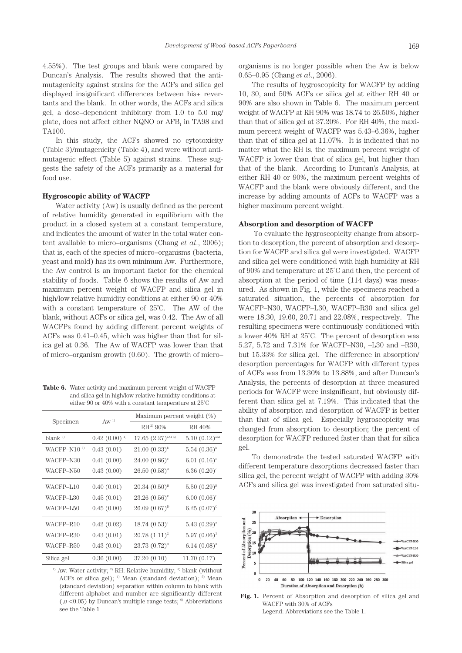4.55%). The test groups and blank were compared by Duncan's Analysis. The results showed that the antimutagenicity against strains for the ACFs and silica gel displayed insignificant differences between his+ revertants and the blank. In other words, the ACFs and silica gel, a dose–dependent inhibitory from 1.0 to 5.0 mg/ plate, does not affect either NQNO or AFB<sub>1</sub> in TA98 and TA100.

In this study, the ACFs showed no cytotoxicity (Table 3)/mutagenicity (Table 4), and were without antimutagenic effect (Table 5) against strains. These suggests the safety of the ACFs primarily as a material for food use.

# **Hygroscopic ability of WACFP**

Water activity (Aw) is usually defined as the percent of relative humidity generated in equilibrium with the product in a closed system at a constant temperature, and indicates the amount of water in the total water content available to micro–organisms (Chang *et al*., 2006); that is, each of the species of micro–organisms (bacteria, yeast and mold) has its own minimum Aw. Furthermore, the Aw control is an important factor for the chemical stability of foods. Table 6 shows the results of Aw and maximum percent weight of WACFP and silica gel in high/low relative humidity conditions at either 90 or 40% with a constant temperature of 25˚C. The AW of the blank, without ACFs or silica gel, was 0.42. The Aw of all WACFPs found by adding different percent weights of ACFs was 0.41–0.45, which was higher than that for silica gel at 0.36. The Aw of WACFP was lower than that of micro–organism growth (0.60). The growth of micro–

**Table 6.** Water activity and maximum percent weight of WACFP and silica gel in high/low relative humidity conditions at either 90 or 40% with a constant temperature at 25˚C

|                   |                 | Maximum percent weight (%)      |                            |  |  |  |
|-------------------|-----------------|---------------------------------|----------------------------|--|--|--|
| Specimen          | $\text{A}w^{1}$ | $RH^{2}$ 90%                    | RH 40%                     |  |  |  |
| blank $3$         | $0.42(0.00)^4$  | $17.65 (2.27)$ <sup>aA15)</sup> | $5.10(0.12)^{aA1}$         |  |  |  |
| WACFP-N10 $^{6)}$ | 0.43(0.01)      | $21.00~(0.33)^{b}$              | $5.54~(0.36)^{b}$          |  |  |  |
| WACFP-N30         | 0.41(0.00)      | 24.00 $(0.86)$ <sup>c</sup>     | $6.01(0.16)$ <sup>c</sup>  |  |  |  |
| WACFP-N50         | 0.43(0.00)      | $26.50(0.58)^d$                 | 6.36 $(0.20)$ <sup>c</sup> |  |  |  |
| WACFP-L10         | 0.40(0.01)      | $20.34~(0.50)^8$                | $5.50~(0.29)^{B}$          |  |  |  |
| WACFP-L30         | 0.45(0.01)      | $23.26(0.56)^c$                 | $6.00(0.06)^c$             |  |  |  |
| WACFP-L50         | 0.45(0.00)      | $26.09(0.67)^p$                 | $6.25(0.07)^c$             |  |  |  |
| WACFP-R10         | 0.42(0.02)      | $18.74(0.53)^{1}$               | $5.43(0.29)^2$             |  |  |  |
| WACFP-R30         | 0.43(0.01)      | $20.78(1.11)^2$                 | $5.97(0.06)^{3}$           |  |  |  |
| WACFP-R50         | 0.43(0.01)      | $23.73(0.72)^{3}$               | $6.14~(0.08)^{3}$          |  |  |  |
| Silica gel        | 0.36(0.00)      | 37.20 (0.10)                    | 11.70 (0.17)               |  |  |  |

<sup>1)</sup> Aw: Water activity; <sup>2)</sup> RH: Relative humidity; <sup>3)</sup> blank (without ACFs or silica gel);  $\frac{4}{3}$  Mean (standard deviation);  $\frac{5}{3}$  Mean (standard deviation) separation within column to blank with different alphabet and number are significantly different ( $\rho$  <0.05) by Duncan's multiple range tests; <sup>6)</sup> Abbreviations see the Table 1

organisms is no longer possible when the Aw is below 0.65–0.95 (Chang *et al*., 2006).

The results of hygroscopicity for WACFP by adding 10, 30, and 50% ACFs or silica gel at either RH 40 or 90% are also shown in Table 6. The maximum percent weight of WACFP at RH 90% was 18.74 to 26.50%, higher than that of silica gel at 37.20%. For RH 40%, the maximum percent weight of WACFP was 5.43–6.36%, higher than that of silica gel at 11.07%. It is indicated that no matter what the RH is, the maximum percent weight of WACFP is lower than that of silica gel, but higher than that of the blank. According to Duncan's Analysis, at either RH 40 or 90%, the maximum percent weights of WACFP and the blank were obviously different, and the increase by adding amounts of ACFs to WACFP was a higher maximum percent weight.

# **Absorption and desorption of WACFP**

 To evaluate the hygroscopicity change from absorption to desorption, the percent of absorption and desorption for WACFP and silica gel were investigated. WACFP and silica gel were conditioned with high humidity at RH of 90% and temperature at 25˚C and then, the percent of absorption at the period of time (114 days) was measured. As shown in Fig. 1, while the specimens reached a saturated situation, the percents of absorption for WACFP–N30, WACFP–L30, WACFP–R30 and silica gel were 18.30, 19.60, 20.71 and 22.08%, respectively. The resulting specimens were continuously conditioned with a lower 40% RH at 25˚C. The percent of desorption was 5.27, 5.72 and 7.31% for WACFP–N30, –L30 and –R30, but 15.33% for silica gel. The difference in absorption/ desorption percentages for WACFP with different types of ACFs was from 13.30% to 13.88%, and after Duncan's Analysis, the percents of desorption at three measured periods for WACFP were insignificant, but obviously different than silica gel at 7.19%. This indicated that the ability of absorption and desorption of WACFP is better than that of silica gel. Especially hygroscopicity was changed from absorption to desorption; the percent of desorption for WACFP reduced faster than that for silica gel.

To demonstrate the tested saturated WACFP with different temperature desorptions decreased faster than silica gel, the percent weight of WACFP with adding 30% ACFs and silica gel was investigated from saturated situ-



**Fig. 1.** Percent of Absorption and desorption of silica gel and WACFP with 30% of ACFs Legend: Abbreviations see the Table 1.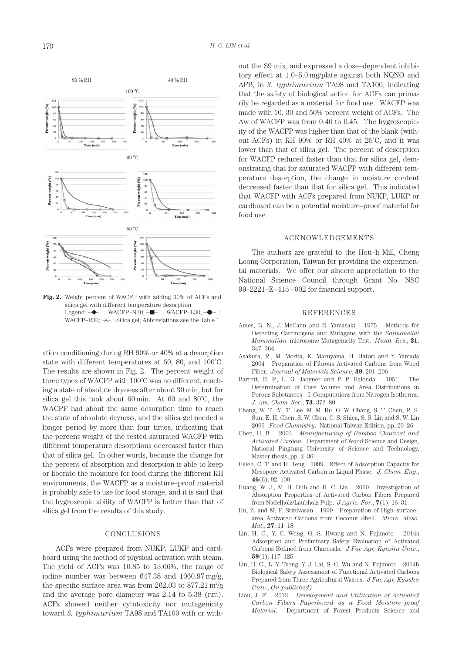

**Fig. 2.** Weight percent of WACFP with adding 30% of ACFs and silica gel with different temperature desorption Legend:  $\rightarrow$  : WACFP–N30;  $\rightarrow$  : WACFP–L30;  $\rightarrow$  : WACFP–R30;  $\prec\!\!\!\prec\;\;$  : Silica gel; Abbreviations see the Table 1

ation conditioning during RH 90% or 40% at a desorption state with different temperatures at 60, 80, and 100˚C. The results are shown in Fig. 2. The percent weight of three types of WACFP with 100˚C was no different, reaching a state of absolute dryness after about 30 min, but for silica gel this took about 60 min. At 60 and 80˚C, the WACPF had about the same desorption time to reach the state of absolute dryness, and the silica gel needed a longer period by more than four times, indicating that the percent weight of the tested saturated WACFP with different temperature desorptions decreased faster than that of silica gel. In other words, because the change for the percent of absorption and desorption is able to keep or liberate the moisture for food during the different RH environments, the WACFP as a moisture–proof material is probably safe to use for food storage, and it is said that the hygroscopic ability of WACFP is better than that of silica gel from the results of this study.

# **CONCLUSIONS**

ACFs were prepared from NUKP, LUKP and cardboard using the method of physical activation with steam. The yield of ACFs was 10.85 to 13.66%, the range of iodine number was between 647.38 and 1060.97 mg/g, the specific surface area was from  $262.03$  to  $877.21$  m<sup>2</sup>/g and the average pore diameter was 2.14 to 5.38 (nm). ACFs showed neither cytotoxicity nor mutagenicity toward *S. typhimurium* TA98 and TA100 with or without the S9 mix, and expressed a dose–dependent inhibitory effect at 1.0–5.0 mg/plate against both NQNO and AFB<sub>1</sub> in *S. typhimurium* TA98 and TA100, indicating that the safety of biological action for ACFs can primarily be regarded as a material for food use. WACFP was made with 10, 30 and 50% percent weight of ACFs. The Aw of WACFP was from 0.40 to 0.45. The hygroscopicity of the WACFP was higher than that of the blank (without ACFs) in RH 90% or RH 40% at 25˚C, and it was lower than that of silica gel. The percent of desorption for WACFP reduced faster than that for silica gel, demonstrating that for saturated WACFP with different temperature desorption, the change in moisture content decreased faster than that for silica gel. This indicated that WACFP with ACFs prepared from NUKP, LUKP or cardboard can be a potential moisture–proof material for food use.

#### ACKNOWLEDGEMENTS

The authors are grateful to the Hou–li Mill, Cheng Loong Corporation, Taiwan for providing the experimental materials. We offer our sincere appreciation to the National Science Council through Grant No. NSC 99–2221–E–415 –002 for financial support.

## REFERENCES

- Ames, B. N., J. McCann and E. Yamasaki 1975 Methods for Detecting Carcinogens and Mutagens with the *Salmonella*/ *Mammalian*–microsome Mutagenicity Test. *Mutat. Res*., **31**: 347–364
- Asakura, R., M. Morita, K. Maruyama, H. Hatori and Y. Yamada 2004 Preparation of Fibrous Activated Carbons from Wood Fiber. *Journal of Materials Science*, **39**: 201–206
- Barrett, E. P., L. G. Jaoyner and P. P. Halenda 1951 The Determination of Pore Volume and Area Distributions in Porous Substances – I. Computations from Nitrogen Isotherms. *J. Am. Chem. Soc*., **73**: 373–80
- Chang, W. T., M. T. Lee, M. M. Ru, G. W. Chang, S. T. Chen, R. S. Sun, E. H. Chen, S. W. Chen, C. S. Shiea, S. S. Lin and S. W. Lin 2006 *Food Chemistry*. National Taiwan Edition, pp. 20–26
- Chen, H. B. 2003 *Manufacturing of Bamboo Charcoal and Activated Carbon*. Department of Wood Science and Design, National Pingtung University of Science and Technology, Master thesis, pp. 2–36
- Hsieh, C. T. and H. Teng 1999 Effect of Adsorption Capacity for Mesopore Activated Carbon in Liquid Phase. *J. Chem. Eng*., **46**(6): 92–100
- Huang, W. J., M. H. Duh and H. C. Lin 2010 Investigation of Absorption Properties of Activated Carbon Fibers Prepared from Nadelholz/Laubholz Pulp. *J Agric. For*., **7**(1): 16–31
- Hu, Z. and M. P. Srinivasan 1999 Preparation of High–surface– area Activated Carbons from Coconut Shell. *Micro. Meso. Mat*., **27**: 11–18
- Lin, H. C., Y. C. Weng, G. S. Hwang and N. Fujimoto 2014a Adsorption and Preliminary Safety Evaluation of Activated Carbons Refined from Charcoals. *J Fac Agr, Kyushu Univ*., **59**(1): 117–125
- Lin, H. C., L. Y. Tseng, Y. J. Lai, S. C. Wu and N. Fujimoto 2014b Biological Safety Assessment of Functional Activated Carbons Prepared from Three Agricultural Wastes. *J Fac Agr, Kyushu Univ*., (*In published)*.
- Liou, J. F. 2012 *Development and Utilization of Activated Carbon Fibers Paperboard as a Food Moisture–proof Material*. Department of Forest Products Science and